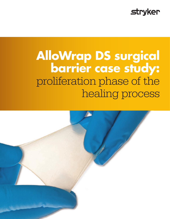### **stryker**

# **AlloWrap DS surgical barrier case study:** proliferation phase of the healing process

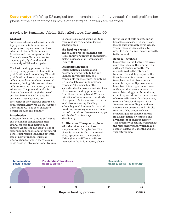**Case study:** AlloWrap DS surgical barrier remains in the body through the cell proliferation phase of the healing process while other surgical barriers are resorbed

A review by Samaniego, Adrian, B.Sc., AlloSource, Centennial, CO

### **Abstract**

Soft tissue adhesions due to traumatic injury, chronic inflammation or surgery are very common and have adverse clinical effects on nerve function and limb range of motion. These adverse effects can lead to ongoing pain, dysfunction and ultimately additional surgeries.

The basic healing process involves three primary phases: inflammation, proliferation and remodeling. The cell proliferation phase occurs when new cells are produced to close the wound. However, during this process, these cells contract as they mature, causing adhesions. The prevention of soft tissue adhesions through the use of surgical barriers is often used by surgeons. These barriers are ineffective if they degrade prior to cell proliferation. AlloWrap DS (AlloSource, Centennial, CO) has been shown to persist through this phase.5,6

### **Introduction**

Adhesion formation around soft tissue can be a major complication after injury, chronic inflammation, or surgery. Adhesions can lead to loss of excursion in tendons and/or peripheral nerve compression including potential loss of nerve function. Surgical intervention to remove scar tissue in these areas involves additional trauma

to these tissues and often results in recurrent scarring and undesired consequences.

### **The healing process**

The healing process following soft tissue injury or surgery is an intricate biologic cascade of different phases (Figure 1).

### Inflammation phase

Inflammation is a normal and necessary prerequisite to healing. Changes in vascular flow are responsible for the clinical symptoms we use to detect an inflammatory response. The majority of the specialized cells involved in this phase of the wound healing process come from the circulating blood. With the initiation of inflammation, hundreds of enzymatic factors interact with the local tissues, ceasing bleeding, enhancing local immune factors and providing necessary nutrients. Under normal conditions, these events happen within the first four days after injury.<sup>1</sup>

### Proliferation/fibroplastic phase

With the inflammatory phase completed, rebuilding begins. This phase is named for the primary cell of scar production—the fibroblast. Although many different cells are involved in the inflammatory phase, fewer types of cells operate in the fibroblastic phase, with their work lasting approximately three weeks. The purpose of these cells is to provide a matrix and impart strength to the wound.<sup>1</sup>

### Remodeling phase

Successful wound healing requires more than closing the wound with sufficient tensile strength. The ultimate goal is the return of function. Remodeling requires the fibroblast matrix or scar to mature to replace the lost tissue. As an example, repaired ligaments must have firm, intransigent scar formed with a parallel weave in order to resist deforming joint forces during stretching activities. In these tissues, where tensile strength is important, scar is a functional repair tissue. However, surrounding a tendon or a nerve, scar contracts and inhibits function. "The process of scar remodeling is responsible for the final aggregation, orientation and arrangement of collagen fibers." 6 This process will continue throughout the remodeling phase, which may be complete between 6 months and one year after injury. 1

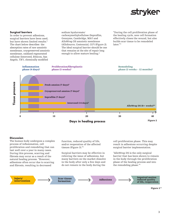## strvker

### **Surgical barriers**

In order to prevent adhesions, surgical barriers have been used, but have shown limited results. 6 The chart below describes the absorption rates of raw amniotic membrane, cryopreserved amniotic membrane, oxidized regenerated cellulose (Interceed, Ethicon, San Angelo, TX<sup>3</sup> ), chemically modified

sodium hyaluronate/ carboxymethylcellulose (Seprafilm, Genzyme, Cambridge, MA<sup>3</sup>) and AlloWrap DS amniotic membrane (AlloSource, Centennial, CO<sup>5</sup>) (Figure 2). The ideal surgical barrier should be one that remains at the site of repair long enough to allow mature healing.<sup>2</sup>

"During the cell proliferation phase of the healing cycle, new cell formation effectively closes the wound, but also builds scar tissue to be remodeled later<sup>"6</sup>



#### **Discussion**

The human body undergoes a complex process of inflammation, cell proliferation and remodeling that can last well over a year in many cases. During this process, scarring and fibrosis may occur as a result of the natural healing process. "However, adhesions often occur due to scarring and fibrosis, resulting in decreased

function, reduced quality of life, and/or reoperation of the affected tissues (Figure 3)." 6

Surgical barriers may be effective in relieving the issue of adhesions, but many barriers on the market dissolve in the body after only a few days and do not remain in the body during the

cell proliferation phase. This may result in adhesions occurring despite surgical barrier implementation.

"AlloWrap DS is the only surgical barrier that has been shown to remain in the body through the proliferation phase of the healing process and into the remodeling phase." 5



Figure 3 6